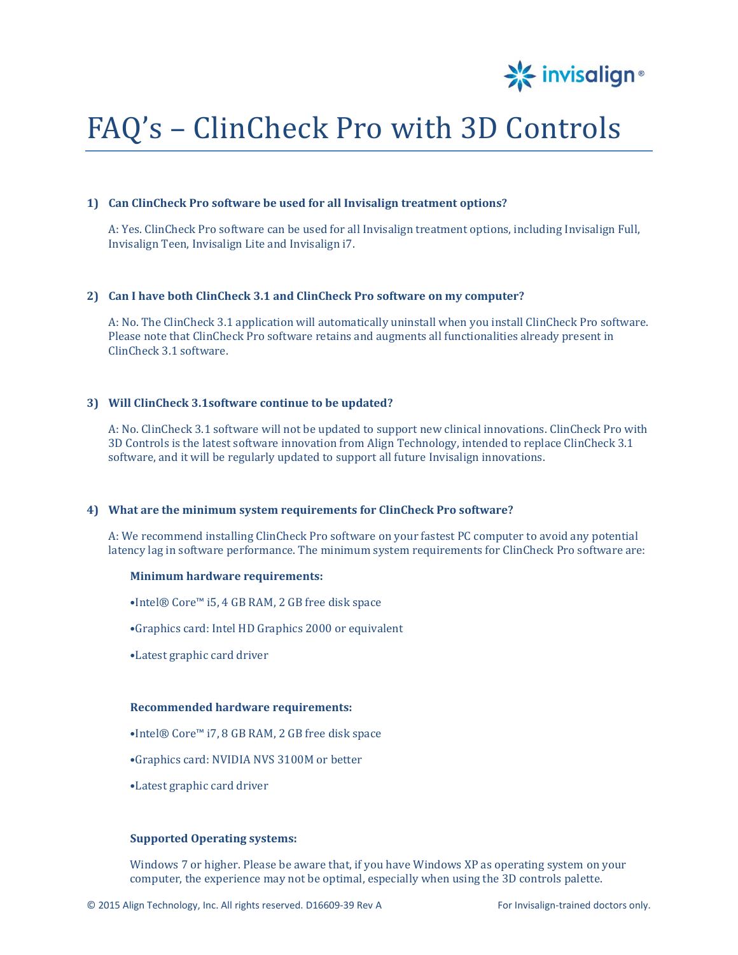

# FAQ's – ClinCheck Pro with 3D Controls

#### **1) Can ClinCheck Pro software be used for all Invisalign treatment options?**

A: Yes. ClinCheck Pro software can be used for all Invisalign treatment options, including Invisalign Full, Invisalign Teen, Invisalign Lite and Invisalign i7.

#### **2) Can I have both ClinCheck 3.1 and ClinCheck Pro software on my computer?**

A: No. The ClinCheck 3.1 application will automatically uninstall when you install ClinCheck Pro software. Please note that ClinCheck Pro software retains and augments all functionalities already present in ClinCheck 3.1 software.

# **3) Will ClinCheck 3.1software continue to be updated?**

A: No. ClinCheck 3.1 software will not be updated to support new clinical innovations. ClinCheck Pro with 3D Controls is the latest software innovation from Align Technology, intended to replace ClinCheck 3.1 software, and it will be regularly updated to support all future Invisalign innovations.

## **4) What are the minimum system requirements for ClinCheck Pro software?**

A: We recommend installing ClinCheck Pro software on your fastest PC computer to avoid any potential latency lag in software performance. The minimum system requirements for ClinCheck Pro software are:

#### **Minimum hardware requirements:**

•Intel® Core™ i5, 4 GB RAM, 2 GB free disk space

- •Graphics card: Intel HD Graphics 2000 or equivalent
- •Latest graphic card driver

#### **Recommended hardware requirements:**

- •Intel® Core™ i7, 8 GB RAM, 2 GB free disk space
- •Graphics card: NVIDIA NVS 3100M or better
- •Latest graphic card driver

# **Supported Operating systems:**

Windows 7 or higher. Please be aware that, if you have Windows XP as operating system on your computer, the experience may not be optimal, especially when using the 3D controls palette.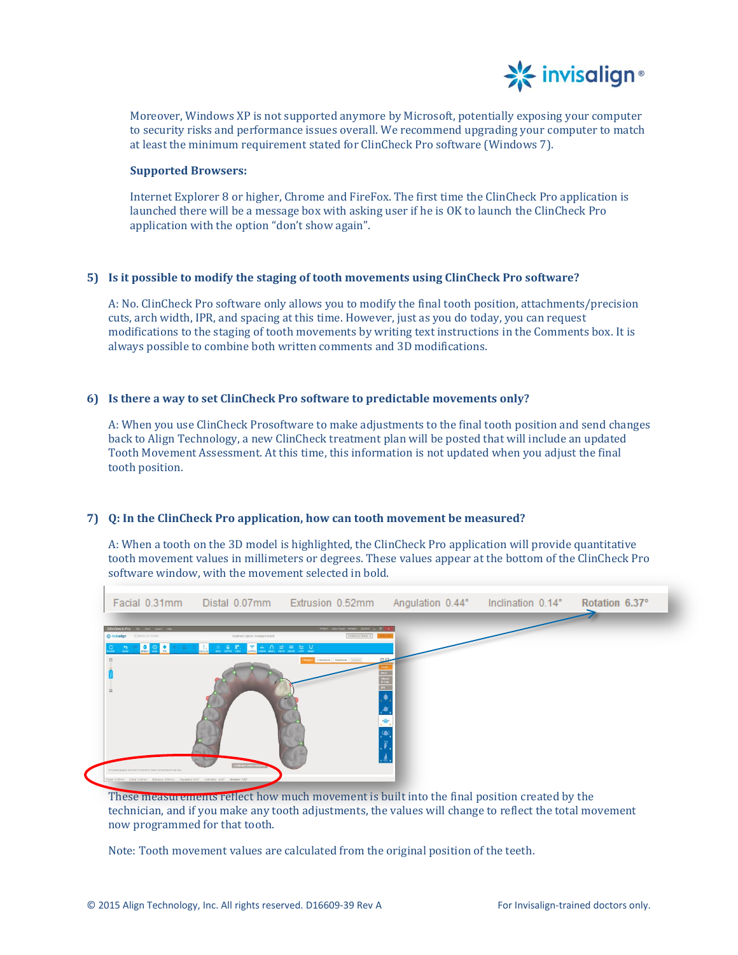

Moreover, Windows XP is not supported anymore by Microsoft, potentially exposing your computer to security risks and performance issues overall. We recommend upgrading your computer to match at least the minimum requirement stated for ClinCheck Pro software (Windows 7).

#### **Supported Browsers:**

Internet Explorer 8 or higher, Chrome and FireFox. The first time the ClinCheck Pro application is launched there will be a message box with asking user if he is OK to launch the ClinCheck Pro application with the option "don't show again".

## **5) Is it possible to modify the staging of tooth movements using ClinCheck Pro software?**

A: No. ClinCheck Pro software only allows you to modify the final tooth position, attachments/precision cuts, arch width, IPR, and spacing at this time. However, just as you do today, you can request modifications to the staging of tooth movements by writing text instructions in the Comments box. It is always possible to combine both written comments and 3D modifications.

# **6) Is there a way to set ClinCheck Pro software to predictable movements only?**

A: When you use ClinCheck Prosoftware to make adjustments to the final tooth position and send changes back to Align Technology, a new ClinCheck treatment plan will be posted that will include an updated Tooth Movement Assessment. At this time, this information is not updated when you adjust the final tooth position.

# **7) Q: In the ClinCheck Pro application, how can tooth movement be measured?**

A: When a tooth on the 3D model is highlighted, the ClinCheck Pro application will provide quantitative tooth movement values in millimeters or degrees. These values appear at the bottom of the ClinCheck Pro software window, with the movement selected in bold.



These measurements reflect how much movement is built into the final position created by the technician, and if you make any tooth adjustments, the values will change to reflect the total movement now programmed for that tooth.

Note: Tooth movement values are calculated from the original position of the teeth.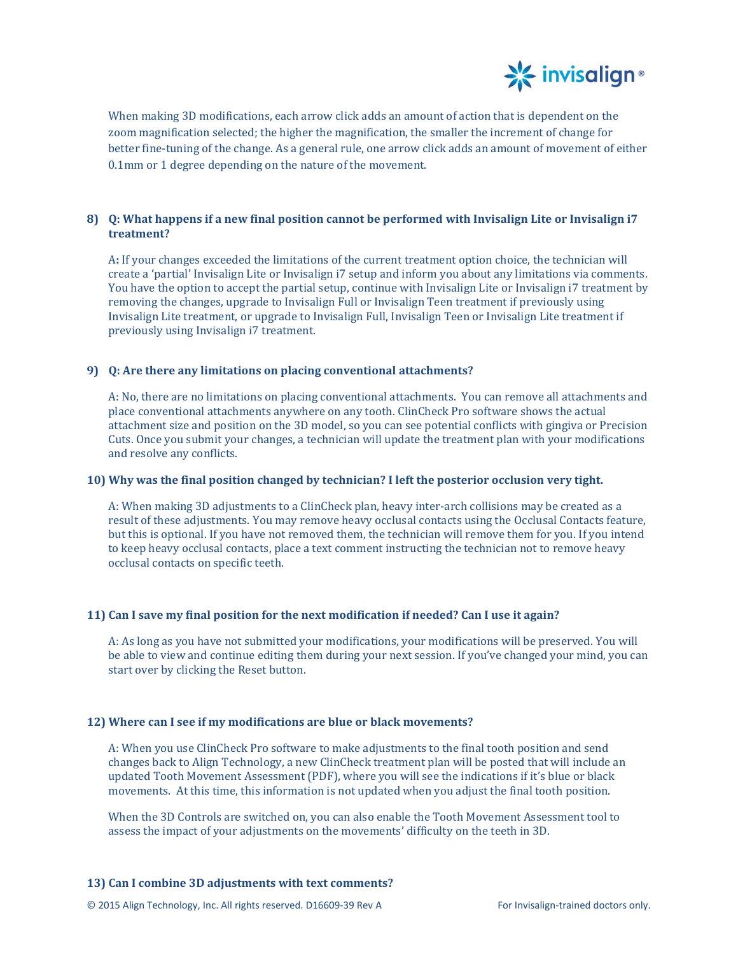

When making 3D modifications, each arrow click adds an amount of action that is dependent on the zoom magnification selected; the higher the magnification, the smaller the increment of change for better fine-tuning of the change. As a general rule, one arrow click adds an amount of movement of either 0.1mm or 1 degree depending on the nature of the movement.

# **8) Q: What happens if a new final position cannot be performed with Invisalign Lite or Invisalign i7 treatment?**

A**:** If your changes exceeded the limitations of the current treatment option choice, the technician will create a 'partial' Invisalign Lite or Invisalign i7 setup and inform you about any limitations via comments. You have the option to accept the partial setup, continue with Invisalign Lite or Invisalign i7 treatment by removing the changes, upgrade to Invisalign Full or Invisalign Teen treatment if previously using Invisalign Lite treatment, or upgrade to Invisalign Full, Invisalign Teen or Invisalign Lite treatment if previously using Invisalign i7 treatment.

# **9) Q: Are there any limitations on placing conventional attachments?**

A: No, there are no limitations on placing conventional attachments. You can remove all attachments and place conventional attachments anywhere on any tooth. ClinCheck Pro software shows the actual attachment size and position on the 3D model, so you can see potential conflicts with gingiva or Precision Cuts. Once you submit your changes, a technician will update the treatment plan with your modifications and resolve any conflicts.

## **10) Why was the final position changed by technician? I left the posterior occlusion very tight.**

A: When making 3D adjustments to a ClinCheck plan, heavy inter-arch collisions may be created as a result of these adjustments. You may remove heavy occlusal contacts using the Occlusal Contacts feature, but this is optional. If you have not removed them, the technician will remove them for you. If you intend to keep heavy occlusal contacts, place a text comment instructing the technician not to remove heavy occlusal contacts on specific teeth.

# **11) Can I save my final position for the next modification if needed? Can I use it again?**

A: As long as you have not submitted your modifications, your modifications will be preserved. You will be able to view and continue editing them during your next session. If you've changed your mind, you can start over by clicking the Reset button.

# **12) Where can I see if my modifications are blue or black movements?**

A: When you use ClinCheck Pro software to make adjustments to the final tooth position and send changes back to Align Technology, a new ClinCheck treatment plan will be posted that will include an updated Tooth Movement Assessment (PDF), where you will see the indications if it's blue or black movements. At this time, this information is not updated when you adjust the final tooth position.

When the 3D Controls are switched on, you can also enable the Tooth Movement Assessment tool to assess the impact of your adjustments on the movements' difficulty on the teeth in 3D.

# **13) Can I combine 3D adjustments with text comments?**